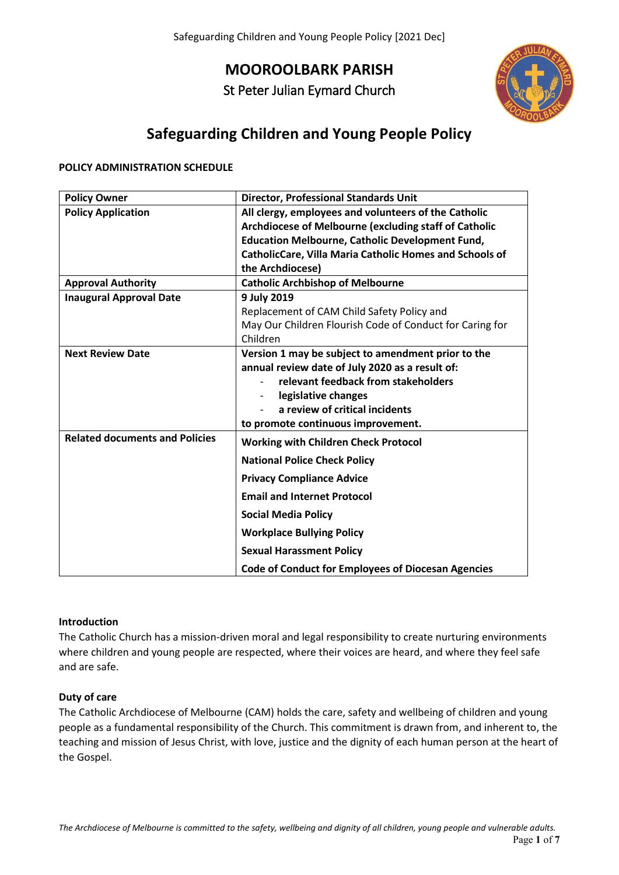**MOOROOLBARK PARISH**

St Peter Julian Eymard Church



# **Safeguarding Children and Young People Policy**

### **POLICY ADMINISTRATION SCHEDULE**

| <b>Policy Owner</b>                   | <b>Director, Professional Standards Unit</b>              |
|---------------------------------------|-----------------------------------------------------------|
| <b>Policy Application</b>             | All clergy, employees and volunteers of the Catholic      |
|                                       | Archdiocese of Melbourne (excluding staff of Catholic     |
|                                       | <b>Education Melbourne, Catholic Development Fund,</b>    |
|                                       | CatholicCare, Villa Maria Catholic Homes and Schools of   |
|                                       | the Archdiocese)                                          |
| <b>Approval Authority</b>             | <b>Catholic Archbishop of Melbourne</b>                   |
| <b>Inaugural Approval Date</b>        | 9 July 2019                                               |
|                                       | Replacement of CAM Child Safety Policy and                |
|                                       | May Our Children Flourish Code of Conduct for Caring for  |
|                                       | Children                                                  |
| <b>Next Review Date</b>               | Version 1 may be subject to amendment prior to the        |
|                                       | annual review date of July 2020 as a result of:           |
|                                       | relevant feedback from stakeholders                       |
|                                       | legislative changes                                       |
|                                       | a review of critical incidents                            |
|                                       | to promote continuous improvement.                        |
| <b>Related documents and Policies</b> | <b>Working with Children Check Protocol</b>               |
|                                       | <b>National Police Check Policy</b>                       |
|                                       | <b>Privacy Compliance Advice</b>                          |
|                                       | <b>Email and Internet Protocol</b>                        |
|                                       | <b>Social Media Policy</b>                                |
|                                       | <b>Workplace Bullying Policy</b>                          |
|                                       | <b>Sexual Harassment Policy</b>                           |
|                                       | <b>Code of Conduct for Employees of Diocesan Agencies</b> |

### **Introduction**

The Catholic Church has a mission-driven moral and legal responsibility to create nurturing environments where children and young people are respected, where their voices are heard, and where they feel safe and are safe.

#### **Duty of care**

The Catholic Archdiocese of Melbourne (CAM) holds the care, safety and wellbeing of children and young people as a fundamental responsibility of the Church. This commitment is drawn from, and inherent to, the teaching and mission of Jesus Christ, with love, justice and the dignity of each human person at the heart of the Gospel.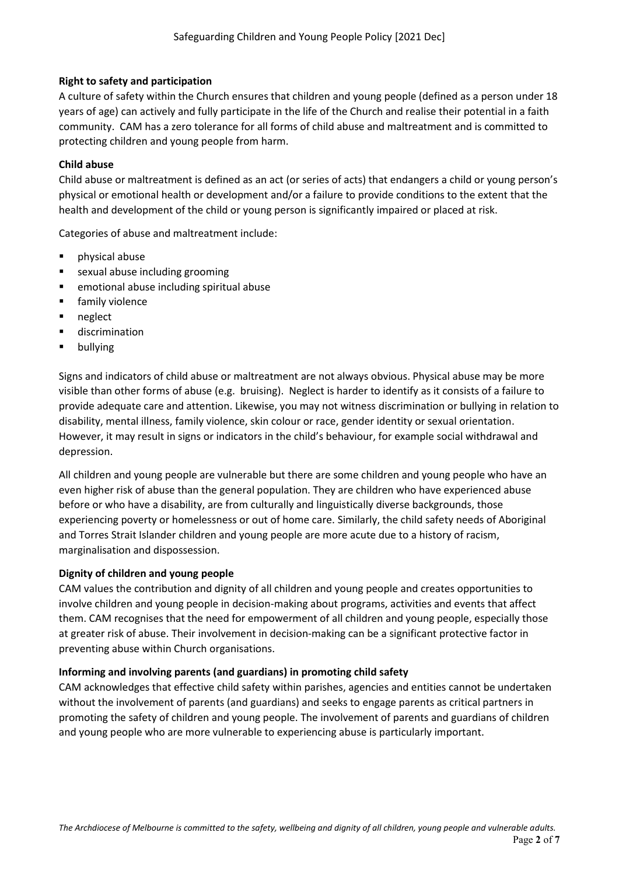## **Right to safety and participation**

A culture of safety within the Church ensures that children and young people (defined as a person under 18 years of age) can actively and fully participate in the life of the Church and realise their potential in a faith community. CAM has a zero tolerance for all forms of child abuse and maltreatment and is committed to protecting children and young people from harm.

## **Child abuse**

Child abuse or maltreatment is defined as an act (or series of acts) that endangers a child or young person's physical or emotional health or development and/or a failure to provide conditions to the extent that the health and development of the child or young person is significantly impaired or placed at risk.

Categories of abuse and maltreatment include:

- **Physical abuse**
- **s** sexual abuse including grooming
- emotional abuse including spiritual abuse
- **Filter** family violence
- **neglect**
- **u** discrimination
- **•** bullying

Signs and indicators of child abuse or maltreatment are not always obvious. Physical abuse may be more visible than other forms of abuse (e.g. bruising). Neglect is harder to identify as it consists of a failure to provide adequate care and attention. Likewise, you may not witness discrimination or bullying in relation to disability, mental illness, family violence, skin colour or race, gender identity or sexual orientation. However, it may result in signs or indicators in the child's behaviour, for example social withdrawal and depression.

All children and young people are vulnerable but there are some children and young people who have an even higher risk of abuse than the general population. They are children who have experienced abuse before or who have a disability, are from culturally and linguistically diverse backgrounds, those experiencing poverty or homelessness or out of home care. Similarly, the child safety needs of Aboriginal and Torres Strait Islander children and young people are more acute due to a history of racism, marginalisation and dispossession.

### **Dignity of children and young people**

CAM values the contribution and dignity of all children and young people and creates opportunities to involve children and young people in decision-making about programs, activities and events that affect them. CAM recognises that the need for empowerment of all children and young people, especially those at greater risk of abuse. Their involvement in decision-making can be a significant protective factor in preventing abuse within Church organisations.

### **Informing and involving parents (and guardians) in promoting child safety**

CAM acknowledges that effective child safety within parishes, agencies and entities cannot be undertaken without the involvement of parents (and guardians) and seeks to engage parents as critical partners in promoting the safety of children and young people. The involvement of parents and guardians of children and young people who are more vulnerable to experiencing abuse is particularly important.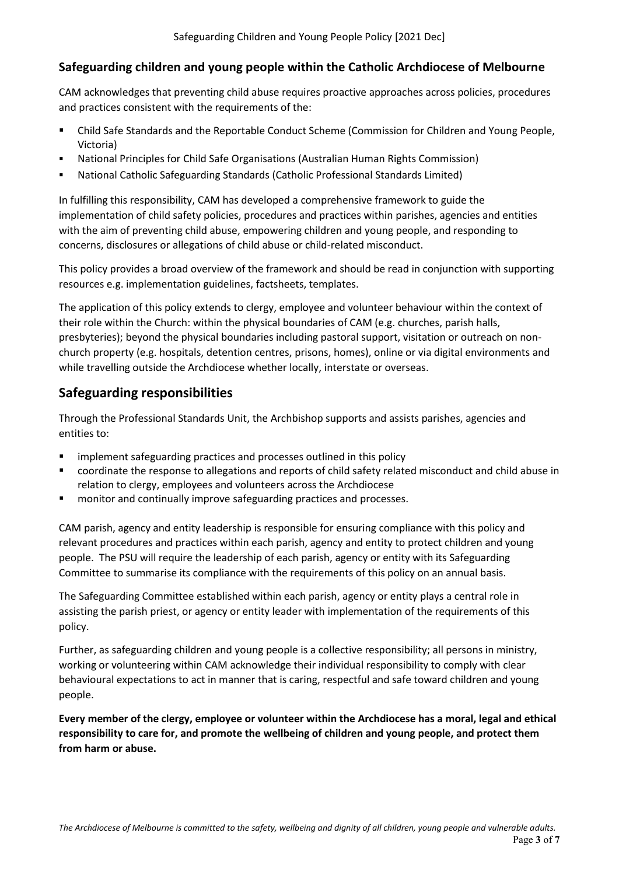## **Safeguarding children and young people within the Catholic Archdiocese of Melbourne**

CAM acknowledges that preventing child abuse requires proactive approaches across policies, procedures and practices consistent with the requirements of the:

- Child Safe Standards and the Reportable Conduct Scheme (Commission for Children and Young People, Victoria)
- National Principles for Child Safe Organisations (Australian Human Rights Commission)
- National Catholic Safeguarding Standards (Catholic Professional Standards Limited)

In fulfilling this responsibility, CAM has developed a comprehensive framework to guide the implementation of child safety policies, procedures and practices within parishes, agencies and entities with the aim of preventing child abuse, empowering children and young people, and responding to concerns, disclosures or allegations of child abuse or child-related misconduct.

This policy provides a broad overview of the framework and should be read in conjunction with supporting resources e.g. implementation guidelines, factsheets, templates.

The application of this policy extends to clergy, employee and volunteer behaviour within the context of their role within the Church: within the physical boundaries of CAM (e.g. churches, parish halls, presbyteries); beyond the physical boundaries including pastoral support, visitation or outreach on nonchurch property (e.g. hospitals, detention centres, prisons, homes), online or via digital environments and while travelling outside the Archdiocese whether locally, interstate or overseas.

## **Safeguarding responsibilities**

Through the Professional Standards Unit, the Archbishop supports and assists parishes, agencies and entities to:

- implement safeguarding practices and processes outlined in this policy
- coordinate the response to allegations and reports of child safety related misconduct and child abuse in relation to clergy, employees and volunteers across the Archdiocese
- monitor and continually improve safeguarding practices and processes.

CAM parish, agency and entity leadership is responsible for ensuring compliance with this policy and relevant procedures and practices within each parish, agency and entity to protect children and young people. The PSU will require the leadership of each parish, agency or entity with its Safeguarding Committee to summarise its compliance with the requirements of this policy on an annual basis.

The Safeguarding Committee established within each parish, agency or entity plays a central role in assisting the parish priest, or agency or entity leader with implementation of the requirements of this policy.

Further, as safeguarding children and young people is a collective responsibility; all persons in ministry, working or volunteering within CAM acknowledge their individual responsibility to comply with clear behavioural expectations to act in manner that is caring, respectful and safe toward children and young people.

**Every member of the clergy, employee or volunteer within the Archdiocese has a moral, legal and ethical responsibility to care for, and promote the wellbeing of children and young people, and protect them from harm or abuse.**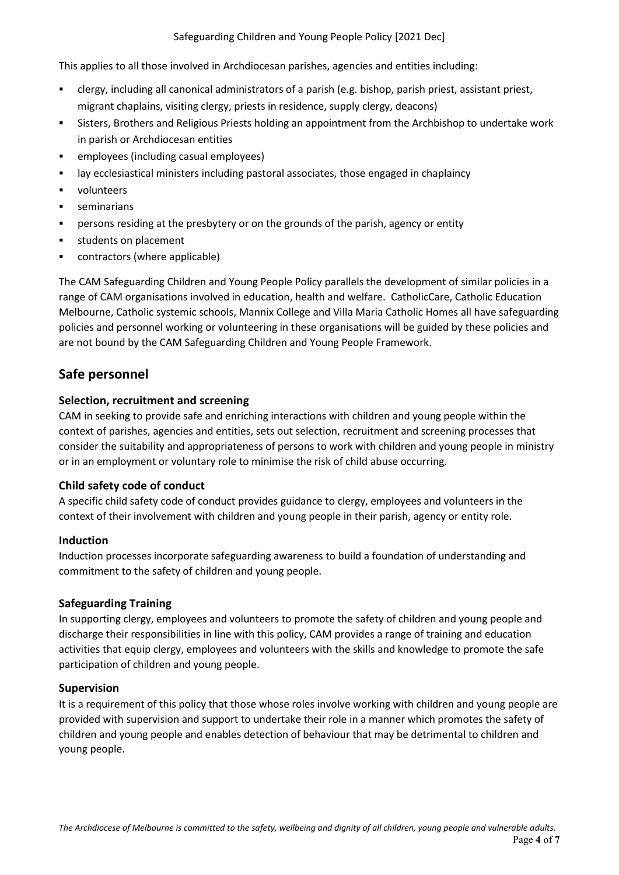This applies to all those involved in Archdiocesan parishes, agencies and entities including:

- clergy, including all canonical administrators of a parish (e.g. bishop, parish priest, assistant priest, migrant chaplains, visiting clergy, priests in residence, supply clergy, deacons)
- Sisters, Brothers and Religious Priests holding an appointment from the Archbishop to undertake work in parish or Archdiocesan entities
- employees (including casual employees)
- lay ecclesiastical ministers including pastoral associates, those engaged in chaplaincy
- **volunteers**
- **seminarians**
- persons residing at the presbytery or on the grounds of the parish, agency or entity
- **students on placement**
- contractors (where applicable)

The CAM Safeguarding Children and Young People Policy parallels the development of similar policies in a range of CAM organisations involved in education, health and welfare. CatholicCare, Catholic Education Melbourne, Catholic systemic schools, Mannix College and Villa Maria Catholic Homes all have safeguarding policies and personnel working or volunteering in these organisations will be guided by these policies and are not bound by the CAM Safeguarding Children and Young People Framework.

## **Safe personnel**

## **Selection, recruitment and screening**

CAM in seeking to provide safe and enriching interactions with children and young people within the context of parishes, agencies and entities, sets out selection, recruitment and screening processes that consider the suitability and appropriateness of persons to work with children and young people in ministry or in an employment or voluntary role to minimise the risk of child abuse occurring.

## **Child safety code of conduct**

A specific child safety code of conduct provides guidance to clergy, employees and volunteers in the context of their involvement with children and young people in their parish, agency or entity role.

## **Induction**

Induction processes incorporate safeguarding awareness to build a foundation of understanding and commitment to the safety of children and young people.

## **Safeguarding Training**

In supporting clergy, employees and volunteers to promote the safety of children and young people and discharge their responsibilities in line with this policy, CAM provides a range of training and education activities that equip clergy, employees and volunteers with the skills and knowledge to promote the safe participation of children and young people.

## **Supervision**

It is a requirement of this policy that those whose roles involve working with children and young people are provided with supervision and support to undertake their role in a manner which promotes the safety of children and young people and enables detection of behaviour that may be detrimental to children and young people.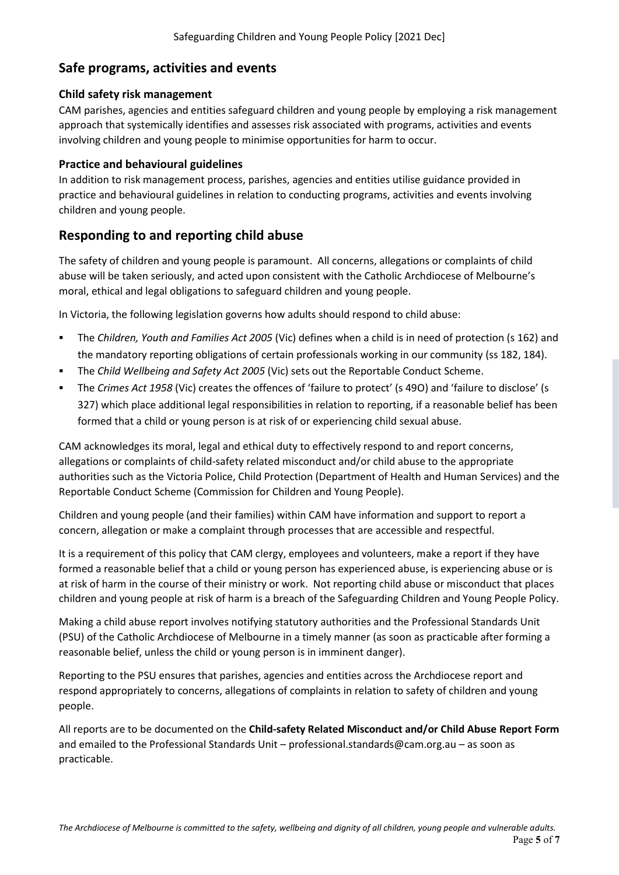## **Safe programs, activities and events**

## **Child safety risk management**

CAM parishes, agencies and entities safeguard children and young people by employing a risk management approach that systemically identifies and assesses risk associated with programs, activities and events involving children and young people to minimise opportunities for harm to occur.

## **Practice and behavioural guidelines**

In addition to risk management process, parishes, agencies and entities utilise guidance provided in practice and behavioural guidelines in relation to conducting programs, activities and events involving children and young people.

## **Responding to and reporting child abuse**

The safety of children and young people is paramount. All concerns, allegations or complaints of child abuse will be taken seriously, and acted upon consistent with the Catholic Archdiocese of Melbourne's moral, ethical and legal obligations to safeguard children and young people.

In Victoria, the following legislation governs how adults should respond to child abuse:

- The *Children, Youth and Families Act 2005* (Vic) defines when a child is in need of protection (s 162) and the mandatory reporting obligations of certain professionals working in our community (ss 182, 184).
- The *Child Wellbeing and Safety Act 2005* (Vic) sets out the Reportable Conduct Scheme.
- The *Crimes Act 1958* (Vic) creates the offences of 'failure to protect' (s 49O) and 'failure to disclose' (s 327) which place additional legal responsibilities in relation to reporting, if a reasonable belief has been formed that a child or young person is at risk of or experiencing child sexual abuse.

CAM acknowledges its moral, legal and ethical duty to effectively respond to and report concerns, allegations or complaints of child-safety related misconduct and/or child abuse to the appropriate authorities such as the Victoria Police, Child Protection (Department of Health and Human Services) and the Reportable Conduct Scheme (Commission for Children and Young People).

Children and young people (and their families) within CAM have information and support to report a concern, allegation or make a complaint through processes that are accessible and respectful.

It is a requirement of this policy that CAM clergy, employees and volunteers, make a report if they have formed a reasonable belief that a child or young person has experienced abuse, is experiencing abuse or is at risk of harm in the course of their ministry or work. Not reporting child abuse or misconduct that places children and young people at risk of harm is a breach of the Safeguarding Children and Young People Policy.

Making a child abuse report involves notifying statutory authorities and the Professional Standards Unit (PSU) of the Catholic Archdiocese of Melbourne in a timely manner (as soon as practicable after forming a reasonable belief, unless the child or young person is in imminent danger).

Reporting to the PSU ensures that parishes, agencies and entities across the Archdiocese report and respond appropriately to concerns, allegations of complaints in relation to safety of children and young people.

All reports are to be documented on the **Child-safety Related Misconduct and/or Child Abuse Report Form**  and emailed to the Professional Standards Unit – [professional.standards@cam.org.au](mailto:professional.standards@cam.org.au) – as soon as practicable.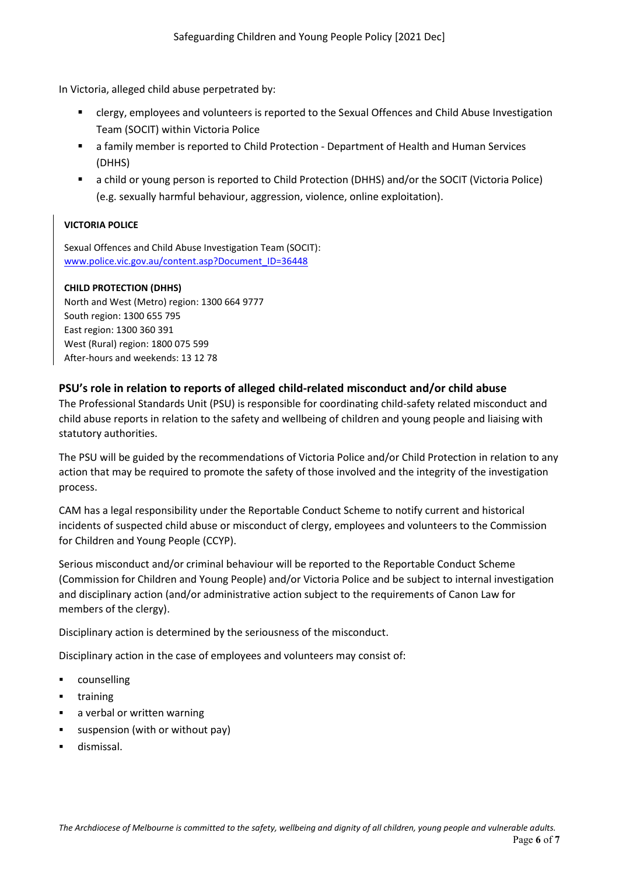In Victoria, alleged child abuse perpetrated by:

- clergy, employees and volunteers is reported to the Sexual Offences and Child Abuse Investigation Team (SOCIT) within Victoria Police
- a family member is reported to Child Protection Department of Health and Human Services (DHHS)
- a child or young person is reported to Child Protection (DHHS) and/or the SOCIT (Victoria Police) (e.g. sexually harmful behaviour, aggression, violence, online exploitation).

### **VICTORIA POLICE**

Sexual Offences and Child Abuse Investigation Team (SOCIT): [www.police.vic.gov.au/content.asp?Document\\_ID=36448](http://www.police.vic.gov.au/content.asp?Document_ID=36448)

#### **CHILD PROTECTION (DHHS)**

North and West (Metro) region: 1300 664 9777 South region: 1300 655 795 East region: 1300 360 391 West (Rural) region: 1800 075 599 After-hours and weekends: 13 12 78

### **PSU's role in relation to reports of alleged child-related misconduct and/or child abuse**

The Professional Standards Unit (PSU) is responsible for coordinating child-safety related misconduct and child abuse reports in relation to the safety and wellbeing of children and young people and liaising with statutory authorities.

The PSU will be guided by the recommendations of Victoria Police and/or Child Protection in relation to any action that may be required to promote the safety of those involved and the integrity of the investigation process.

CAM has a legal responsibility under the Reportable Conduct Scheme to notify current and historical incidents of suspected child abuse or misconduct of clergy, employees and volunteers to the Commission for Children and Young People (CCYP).

Serious misconduct and/or criminal behaviour will be reported to the Reportable Conduct Scheme (Commission for Children and Young People) and/or Victoria Police and be subject to internal investigation and disciplinary action (and/or administrative action subject to the requirements of Canon Law for members of the clergy).

Disciplinary action is determined by the seriousness of the misconduct.

Disciplinary action in the case of employees and volunteers may consist of:

- **•** counselling
- **training**
- **a** a verbal or written warning
- suspension (with or without pay)
- **dismissal.**